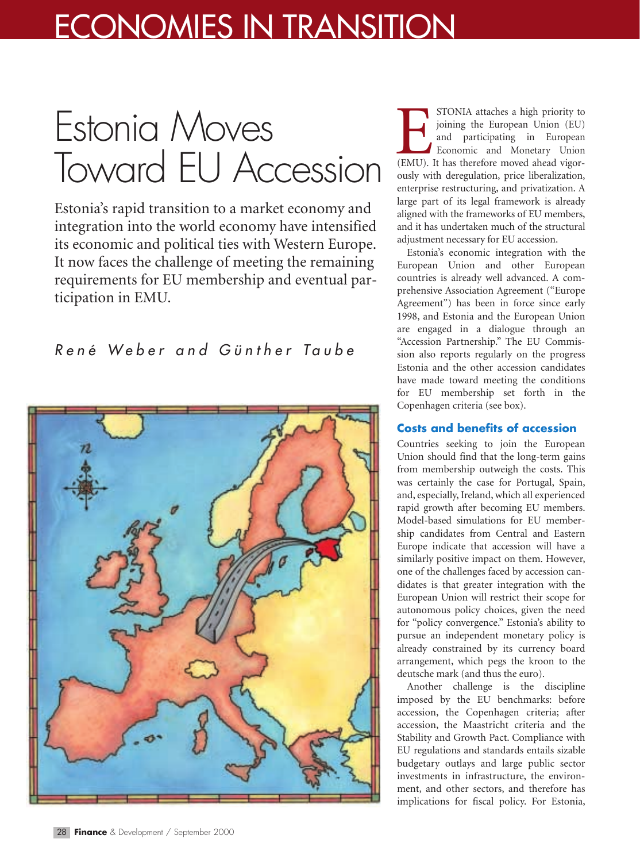## ECONOMIES IN TRANSITION

# Estonia Moves Toward EU Accession

Estonia's rapid transition to a market economy and integration into the world economy have intensified its economic and political ties with Western Europe. It now faces the challenge of meeting the remaining requirements for EU membership and eventual participation in EMU.

### *René Weber and Günther Taube*



STONIA attaches a high priority to joining the European Union (EU) and participating in European Economic and Monetary Union STONIA attaches a high priority to<br>
joining the European Union (EU)<br>
and participating in European<br>
Economic and Monetary Union<br>
(EMU). It has therefore moved ahead vigorously with deregulation, price liberalization, enterprise restructuring, and privatization. A large part of its legal framework is already aligned with the frameworks of EU members, and it has undertaken much of the structural adjustment necessary for EU accession.

Estonia's economic integration with the European Union and other European countries is already well advanced. A comprehensive Association Agreement ("Europe Agreement") has been in force since early 1998, and Estonia and the European Union are engaged in a dialogue through an "Accession Partnership." The EU Commission also reports regularly on the progress Estonia and the other accession candidates have made toward meeting the conditions for EU membership set forth in the Copenhagen criteria (see box).

#### **Costs and benefits of accession**

Countries seeking to join the European Union should find that the long-term gains from membership outweigh the costs. This was certainly the case for Portugal, Spain, and, especially, Ireland, which all experienced rapid growth after becoming EU members. Model-based simulations for EU membership candidates from Central and Eastern Europe indicate that accession will have a similarly positive impact on them. However, one of the challenges faced by accession candidates is that greater integration with the European Union will restrict their scope for autonomous policy choices, given the need for "policy convergence." Estonia's ability to pursue an independent monetary policy is already constrained by its currency board arrangement, which pegs the kroon to the deutsche mark (and thus the euro).

Another challenge is the discipline imposed by the EU benchmarks: before accession, the Copenhagen criteria; after accession, the Maastricht criteria and the Stability and Growth Pact. Compliance with EU regulations and standards entails sizable budgetary outlays and large public sector investments in infrastructure, the environment, and other sectors, and therefore has implications for fiscal policy. For Estonia,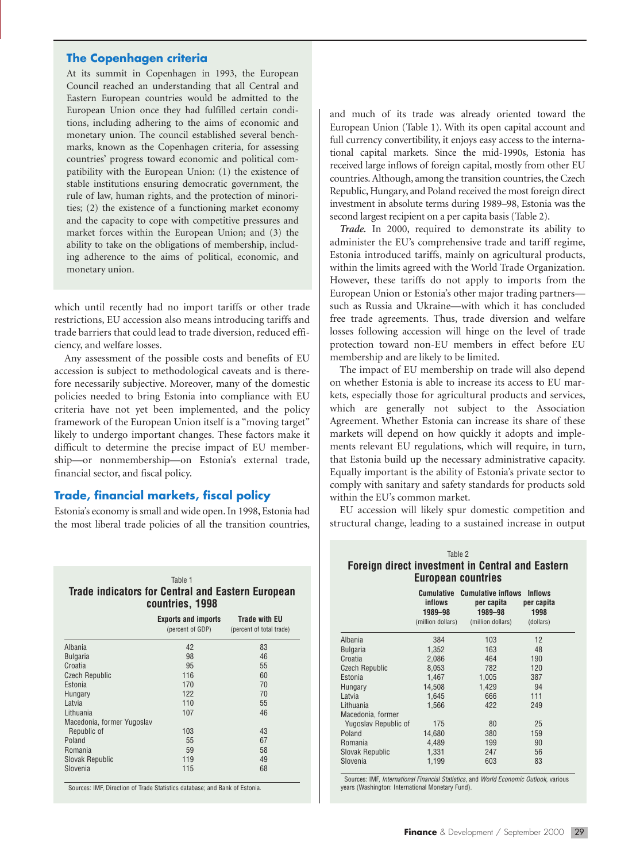#### **The Copenhagen criteria**

At its summit in Copenhagen in 1993, the European Council reached an understanding that all Central and Eastern European countries would be admitted to the European Union once they had fulfilled certain conditions, including adhering to the aims of economic and monetary union. The council established several benchmarks, known as the Copenhagen criteria, for assessing countries' progress toward economic and political compatibility with the European Union: (1) the existence of stable institutions ensuring democratic government, the rule of law, human rights, and the protection of minorities; (2) the existence of a functioning market economy and the capacity to cope with competitive pressures and market forces within the European Union; and (3) the ability to take on the obligations of membership, including adherence to the aims of political, economic, and monetary union.

which until recently had no import tariffs or other trade restrictions, EU accession also means introducing tariffs and trade barriers that could lead to trade diversion, reduced efficiency, and welfare losses.

Any assessment of the possible costs and benefits of EU accession is subject to methodological caveats and is therefore necessarily subjective. Moreover, many of the domestic policies needed to bring Estonia into compliance with EU criteria have not yet been implemented, and the policy framework of the European Union itself is a "moving target" likely to undergo important changes. These factors make it difficult to determine the precise impact of EU membership—or nonmembership—on Estonia's external trade, financial sector, and fiscal policy.

#### **Trade, financial markets, fiscal policy**

Estonia's economy is small and wide open. In 1998, Estonia had the most liberal trade policies of all the transition countries,

|                                                                             | Table 1                                        |                                                  |  |  |  |  |  |
|-----------------------------------------------------------------------------|------------------------------------------------|--------------------------------------------------|--|--|--|--|--|
| <b>Trade indicators for Central and Eastern European</b><br>countries, 1998 |                                                |                                                  |  |  |  |  |  |
|                                                                             | <b>Exports and imports</b><br>(percent of GDP) | <b>Trade with EU</b><br>(percent of total trade) |  |  |  |  |  |
| Albania                                                                     | 42                                             | 83                                               |  |  |  |  |  |
| <b>Bulgaria</b>                                                             | 98                                             | 46                                               |  |  |  |  |  |
| Croatia                                                                     | 95                                             | 55                                               |  |  |  |  |  |
| <b>Czech Republic</b>                                                       | 116                                            | 60                                               |  |  |  |  |  |
| Estonia                                                                     | 170                                            | 70                                               |  |  |  |  |  |
| Hungary                                                                     | 122                                            | 70                                               |  |  |  |  |  |
| Latvia                                                                      | 110                                            | 55                                               |  |  |  |  |  |
| Lithuania                                                                   | 107                                            | 46                                               |  |  |  |  |  |
| Macedonia, former Yugoslav                                                  |                                                |                                                  |  |  |  |  |  |
| Republic of                                                                 | 103                                            | 43                                               |  |  |  |  |  |
| Poland                                                                      | 55                                             | 67                                               |  |  |  |  |  |

Slovenia 68 Sources: IMF, Direction of Trade Statistics database; and Bank of Estonia.

Romania 58 58<br>Slovak Republic 119 58 58 Slovak Republic 119 119<br>Slovenia 115 68 and much of its trade was already oriented toward the European Union (Table 1). With its open capital account and full currency convertibility, it enjoys easy access to the international capital markets. Since the mid-1990s, Estonia has received large inflows of foreign capital, mostly from other EU countries. Although, among the transition countries, the Czech Republic, Hungary, and Poland received the most foreign direct investment in absolute terms during 1989–98, Estonia was the second largest recipient on a per capita basis (Table 2).

*Trade.* In 2000, required to demonstrate its ability to administer the EU's comprehensive trade and tariff regime, Estonia introduced tariffs, mainly on agricultural products, within the limits agreed with the World Trade Organization. However, these tariffs do not apply to imports from the European Union or Estonia's other major trading partners such as Russia and Ukraine—with which it has concluded free trade agreements. Thus, trade diversion and welfare losses following accession will hinge on the level of trade protection toward non-EU members in effect before EU membership and are likely to be limited.

The impact of EU membership on trade will also depend on whether Estonia is able to increase its access to EU markets, especially those for agricultural products and services, which are generally not subject to the Association Agreement. Whether Estonia can increase its share of these markets will depend on how quickly it adopts and implements relevant EU regulations, which will require, in turn, that Estonia build up the necessary administrative capacity. Equally important is the ability of Estonia's private sector to comply with sanitary and safety standards for products sold within the EU's common market.

EU accession will likely spur domestic competition and structural change, leading to a sustained increase in output

| Table 2                          |                                                                         |                                                                              |  |  |  |  |  |  |  |
|----------------------------------|-------------------------------------------------------------------------|------------------------------------------------------------------------------|--|--|--|--|--|--|--|
|                                  |                                                                         |                                                                              |  |  |  |  |  |  |  |
| European countries               |                                                                         |                                                                              |  |  |  |  |  |  |  |
| Cumulative<br>inflows<br>1989-98 | <b>Cumulative inflows</b><br>per capita<br>1989-98<br>(million dollars) | <b>Inflows</b><br>per capita<br>1998<br>(dollars)                            |  |  |  |  |  |  |  |
| 384                              | 103                                                                     | 12                                                                           |  |  |  |  |  |  |  |
| 1,352                            | 163                                                                     | 48                                                                           |  |  |  |  |  |  |  |
| 2,086                            | 464                                                                     | 190                                                                          |  |  |  |  |  |  |  |
| 8,053                            | 782                                                                     | 120                                                                          |  |  |  |  |  |  |  |
| 1,467                            | 1,005                                                                   | 387                                                                          |  |  |  |  |  |  |  |
| 14,508                           | 1,429                                                                   | 94                                                                           |  |  |  |  |  |  |  |
| 1,645                            | 666                                                                     | 111                                                                          |  |  |  |  |  |  |  |
| 1,566                            | 422                                                                     | 249                                                                          |  |  |  |  |  |  |  |
|                                  |                                                                         |                                                                              |  |  |  |  |  |  |  |
| 175                              | 80                                                                      | 25                                                                           |  |  |  |  |  |  |  |
| 14,680                           | 380                                                                     | 159                                                                          |  |  |  |  |  |  |  |
| 4,489                            | 199                                                                     | 90                                                                           |  |  |  |  |  |  |  |
| 1,331                            | 247                                                                     | 56                                                                           |  |  |  |  |  |  |  |
| 1,199                            | 603                                                                     | 83                                                                           |  |  |  |  |  |  |  |
|                                  |                                                                         | <b>Foreign direct investment in Central and Eastern</b><br>(million dollars) |  |  |  |  |  |  |  |

Sources: IMF, *International Financial Statistics*, and *World Economic Outlook*, various years (Washington: International Monetary Fund).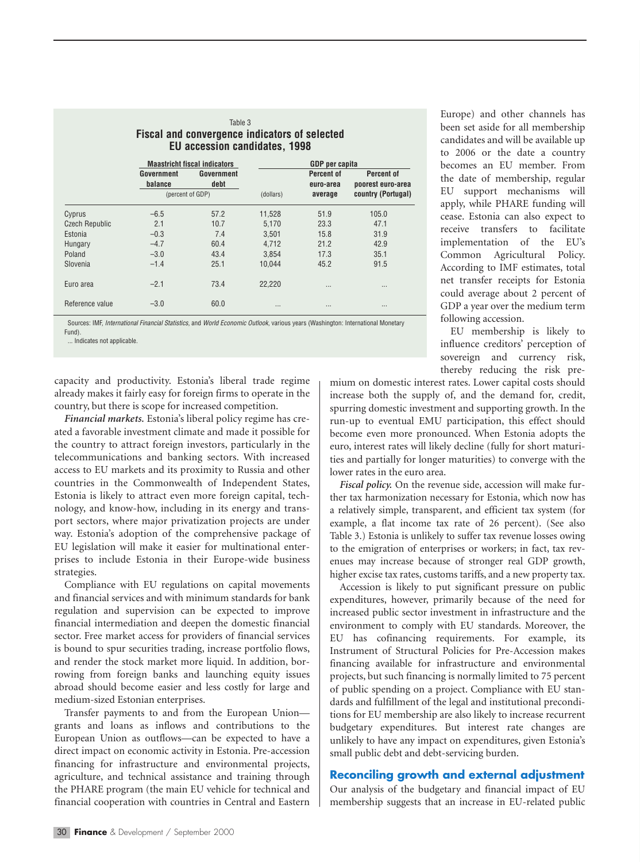| Table 3<br>Fiscal and convergence indicators of selected<br><b>EU accession candidates, 1998</b> |                  |      |           |           |                    |  |  |  |                                     |            |                       |            |            |
|--------------------------------------------------------------------------------------------------|------------------|------|-----------|-----------|--------------------|--|--|--|-------------------------------------|------------|-----------------------|------------|------------|
|                                                                                                  |                  |      |           |           |                    |  |  |  | <b>Maastricht fiscal indicators</b> |            | <b>GDP</b> per capita |            |            |
|                                                                                                  |                  |      |           |           |                    |  |  |  | Government                          | Government |                       | Percent of | Percent of |
|                                                                                                  | balance          | debt |           | euro-area | poorest euro-area  |  |  |  |                                     |            |                       |            |            |
|                                                                                                  | (percent of GDP) |      | (dollars) | average   | country (Portugal) |  |  |  |                                     |            |                       |            |            |
| Cyprus                                                                                           | $-6.5$           | 57.2 | 11,528    | 51.9      | 105.0              |  |  |  |                                     |            |                       |            |            |
| <b>Czech Republic</b>                                                                            | 2.1              | 10.7 | 5,170     | 23.3      | 47.1               |  |  |  |                                     |            |                       |            |            |
| Estonia                                                                                          | $-0.3$           | 7.4  | 3.501     | 15.8      | 31.9               |  |  |  |                                     |            |                       |            |            |
| Hungary                                                                                          | $-4.7$           | 60.4 | 4.712     | 21.2      | 42.9               |  |  |  |                                     |            |                       |            |            |
| Poland                                                                                           | $-3.0$           | 43.4 | 3,854     | 17.3      | 35.1               |  |  |  |                                     |            |                       |            |            |
| Slovenia                                                                                         | $-1.4$           | 25.1 | 10.044    | 45.2      | 91.5               |  |  |  |                                     |            |                       |            |            |
| Euro area                                                                                        | $-2.1$           | 73.4 | 22,220    |           | $\cdots$           |  |  |  |                                     |            |                       |            |            |
| Reference value                                                                                  | $-3.0$           | 60.0 |           |           |                    |  |  |  |                                     |            |                       |            |            |

Sources: IMF, *International Financial Statistics*, and *World Economic Outlook*, various years (Washington: International Monetary Fund).

... Indicates not applicable.

capacity and productivity. Estonia's liberal trade regime already makes it fairly easy for foreign firms to operate in the country, but there is scope for increased competition.

*Financial markets.* Estonia's liberal policy regime has created a favorable investment climate and made it possible for the country to attract foreign investors, particularly in the telecommunications and banking sectors. With increased access to EU markets and its proximity to Russia and other countries in the Commonwealth of Independent States, Estonia is likely to attract even more foreign capital, technology, and know-how, including in its energy and transport sectors, where major privatization projects are under way. Estonia's adoption of the comprehensive package of EU legislation will make it easier for multinational enterprises to include Estonia in their Europe-wide business strategies.

Compliance with EU regulations on capital movements and financial services and with minimum standards for bank regulation and supervision can be expected to improve financial intermediation and deepen the domestic financial sector. Free market access for providers of financial services is bound to spur securities trading, increase portfolio flows, and render the stock market more liquid. In addition, borrowing from foreign banks and launching equity issues abroad should become easier and less costly for large and medium-sized Estonian enterprises.

Transfer payments to and from the European Union grants and loans as inflows and contributions to the European Union as outflows—can be expected to have a direct impact on economic activity in Estonia. Pre-accession financing for infrastructure and environmental projects, agriculture, and technical assistance and training through the PHARE program (the main EU vehicle for technical and financial cooperation with countries in Central and Eastern

Europe) and other channels has been set aside for all membership candidates and will be available up to 2006 or the date a country becomes an EU member. From the date of membership, regular EU support mechanisms will apply, while PHARE funding will cease. Estonia can also expect to receive transfers to facilitate implementation of the EU's Common Agricultural Policy. According to IMF estimates, total net transfer receipts for Estonia could average about 2 percent of GDP a year over the medium term following accession.

EU membership is likely to influence creditors' perception of sovereign and currency risk, thereby reducing the risk pre-

mium on domestic interest rates. Lower capital costs should increase both the supply of, and the demand for, credit, spurring domestic investment and supporting growth. In the run-up to eventual EMU participation, this effect should become even more pronounced. When Estonia adopts the euro, interest rates will likely decline (fully for short maturities and partially for longer maturities) to converge with the lower rates in the euro area.

*Fiscal policy.* On the revenue side, accession will make further tax harmonization necessary for Estonia, which now has a relatively simple, transparent, and efficient tax system (for example, a flat income tax rate of 26 percent). (See also Table 3.) Estonia is unlikely to suffer tax revenue losses owing to the emigration of enterprises or workers; in fact, tax revenues may increase because of stronger real GDP growth, higher excise tax rates, customs tariffs, and a new property tax.

Accession is likely to put significant pressure on public expenditures, however, primarily because of the need for increased public sector investment in infrastructure and the environment to comply with EU standards. Moreover, the EU has cofinancing requirements. For example, its Instrument of Structural Policies for Pre-Accession makes financing available for infrastructure and environmental projects, but such financing is normally limited to 75 percent of public spending on a project. Compliance with EU standards and fulfillment of the legal and institutional preconditions for EU membership are also likely to increase recurrent budgetary expenditures. But interest rate changes are unlikely to have any impact on expenditures, given Estonia's small public debt and debt-servicing burden.

#### **Reconciling growth and external adjustment**

Our analysis of the budgetary and financial impact of EU membership suggests that an increase in EU-related public